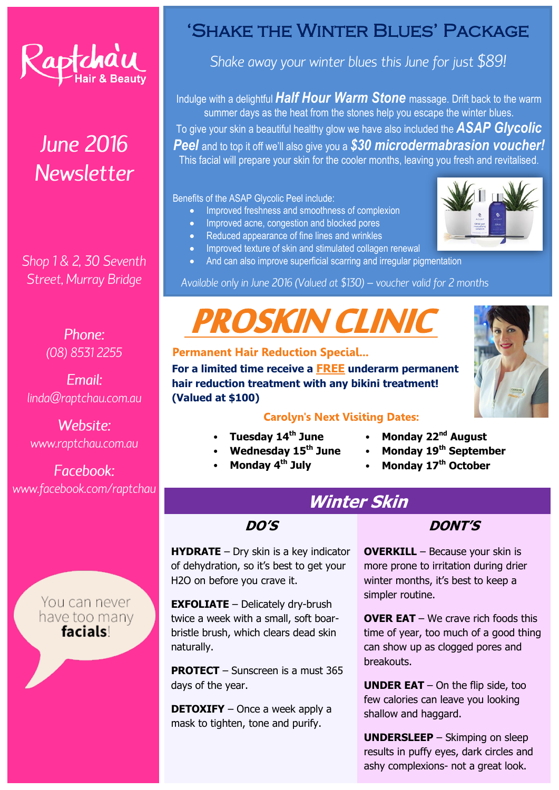

# **June 2016 Newsletter**

Shop 1 & 2, 30 Seventh Street, Murray Bridge

> Phone: (08) 8531 2255

Fmail: linda@raptchau.com.au

Website: www.raptchau.com.au

Facebook: www.facebook.com/raptchau

> You can never have too many facials

# 'Shake the Winter Blues' Package

Shake away your winter blues this June for just \$89!

Indulge with a delightful *Half Hour Warm Stone* massage. Drift back to the warm summer days as the heat from the stones help you escape the winter blues. To give your skin a beautiful healthy glow we have also included the *ASAP Glycolic Peel* and to top it off we'll also give you a *\$30 microdermabrasion voucher!* This facial will prepare your skin for the cooler months, leaving you fresh and revitalised.

Benefits of the ASAP Glycolic Peel include:

- Improved freshness and smoothness of complexion
- Improved acne, congestion and blocked pores
- Reduced appearance of fine lines and wrinkles
- Improved texture of skin and stimulated collagen renewal
- And can also improve superficial scarring and irregular pigmentation

Available only in June 2016 (Valued at \$130) - voucher valid for 2 months

# PROSKIN CLINIC



**For a limited time receive a FREE underarm permanent hair reduction treatment with any bikini treatment! (Valued at \$100)**

### **Carolyn's Next Visiting Dates:**

- **Tuesday 14th June**
- **Wednesday 15th June**
- **Monday 4th July**
- **Monday 22nd August**
- **Monday 19th September**
- **Monday 17th October**

# **Winter Skin**

**DO'S**

**HYDRATE** – Dry skin is a key indicator of dehydration, so it's best to get your H2O on before you crave it.

**EXFOLIATE** – Delicately dry-brush twice a week with a small, soft boarbristle brush, which clears dead skin naturally.

**PROTECT** – Sunscreen is a must 365 days of the year.

**DETOXIFY** – Once a week apply a mask to tighten, tone and purify.

### **DONT'S**

**OVERKILL** – Because your skin is more prone to irritation during drier winter months, it's best to keep a simpler routine.

**OVER EAT** – We crave rich foods this time of year, too much of a good thing can show up as clogged pores and breakouts.

**UNDER EAT** – On the flip side, too few calories can leave you looking shallow and haggard.

**UNDERSLEEP** – Skimping on sleep results in puffy eyes, dark circles and ashy complexions- not a great look.